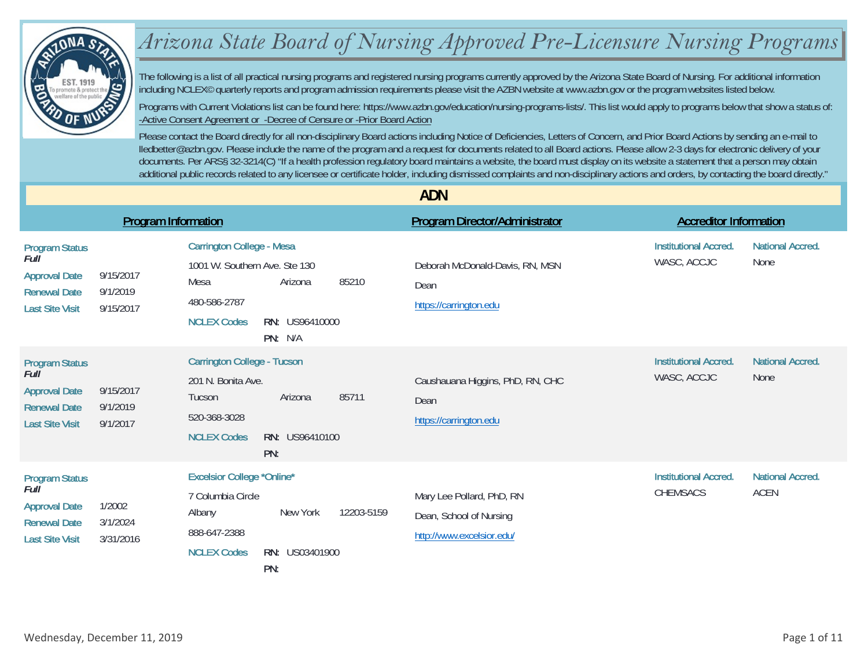

## *Arizona State Board of Nursing Approved Pre-Licensure Nursing Programs*

The following is a list of all practical nursing programs and registered nursing programs currently approved by the Arizona State Board of Nursing. For additional information including NCLEX© quarterly reports and program admission requirements please visit the AZBN website at www.azbn.gov or the program websites listed below.

Programs with Current Violations list can be found here: https://www.azbn.gov/education/nursing-programs-lists/. This list would apply to programs below that show a status of: -Active Consent Agreement or -Decree of Censure or -Prior Board Action

Please contact the Board directly for all non-disciplinary Board actions including Notice of Deficiencies, Letters of Concern, and Prior Board Actions by sending an e-mail to lledbetter@azbn.gov. Please include the name of the program and a request for documents related to all Board actions. Please allow 2-3 days for electronic delivery of your documents. Per ARS§ 32-3214(C) "If a health profession regulatory board maintains a website, the board must display on its website a statement that a person may obtain additional public records related to any licensee or certificate holder, including dismissed complaints and non-disciplinary actions and orders, by contacting the board directly."

|                                                                                                        |                                    |                                                                                                                                                                         | <b>ADN</b>                                                                        |                                                                |                         |
|--------------------------------------------------------------------------------------------------------|------------------------------------|-------------------------------------------------------------------------------------------------------------------------------------------------------------------------|-----------------------------------------------------------------------------------|----------------------------------------------------------------|-------------------------|
|                                                                                                        | <b>Program Information</b>         |                                                                                                                                                                         | <b>Program Director/Administrator</b>                                             | <b>Accreditor Information</b>                                  |                         |
| <b>Program Status</b><br>Full<br><b>Approval Date</b><br><b>Renewal Date</b><br><b>Last Site Visit</b> | 9/15/2017<br>9/1/2019<br>9/15/2017 | <b>Carrington College - Mesa</b><br>1001 W. Southern Ave. Ste 130<br>85210<br>Mesa<br>Arizona<br>480-586-2787<br><b>NCLEX Codes</b><br><b>RN: US96410000</b><br>PN: N/A | Deborah McDonald-Davis, RN, MSN<br>Dean<br>https://carrington.edu                 | <b>Institutional Accred.</b><br>WASC, ACCJC<br>None            | <b>National Accred.</b> |
| <b>Program Status</b><br>Full<br><b>Approval Date</b><br><b>Renewal Date</b><br><b>Last Site Visit</b> | 9/15/2017<br>9/1/2019<br>9/1/2017  | <b>Carrington College - Tucson</b><br>201 N. Bonita Ave.<br>85711<br>Arizona<br>Tucson<br>520-368-3028<br><b>NCLEX Codes</b><br>RN: US96410100<br>PN:                   | Caushauana Higgins, PhD, RN, CHC<br>Dean<br>https://carrington.edu                | <b>Institutional Accred.</b><br>WASC, ACCJC<br>None            | <b>National Accred.</b> |
| <b>Program Status</b><br>Full<br><b>Approval Date</b><br><b>Renewal Date</b><br><b>Last Site Visit</b> | 1/2002<br>3/1/2024<br>3/31/2016    | <b>Excelsior College *Online*</b><br>7 Columbia Circle<br>12203-5159<br>New York<br>Albany<br>888-647-2388<br>RN: US03401900<br><b>NCLEX Codes</b><br>PN:               | Mary Lee Pollard, PhD, RN<br>Dean, School of Nursing<br>http://www.excelsior.edu/ | <b>Institutional Accred.</b><br><b>ACEN</b><br><b>CHEMSACS</b> | <b>National Accred.</b> |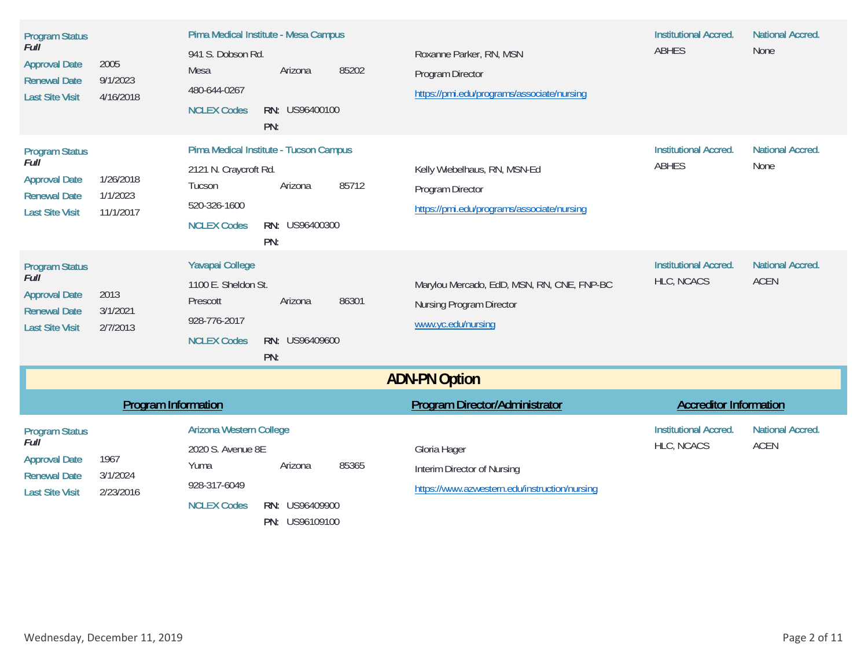| <b>Program Status</b><br>Full<br><b>Approval Date</b><br><b>Renewal Date</b><br><b>Last Site Visit</b> | 2005<br>9/1/2023<br>4/16/2018      | 941 S. Dobson Rd.<br>Mesa<br>480-644-0267<br><b>NCLEX Codes</b>                                   | Pima Medical Institute - Mesa Campus<br>Arizona<br>RN: US96400100<br>PN:   | 85202 | Roxanne Parker, RN, MSN<br>Program Director<br>https://pmi.edu/programs/associate/nursing      | <b>Institutional Accred.</b><br><b>ABHES</b> | <b>National Accred.</b><br>None        |
|--------------------------------------------------------------------------------------------------------|------------------------------------|---------------------------------------------------------------------------------------------------|----------------------------------------------------------------------------|-------|------------------------------------------------------------------------------------------------|----------------------------------------------|----------------------------------------|
| <b>Program Status</b><br>Full<br><b>Approval Date</b><br><b>Renewal Date</b><br><b>Last Site Visit</b> | 1/26/2018<br>1/1/2023<br>11/1/2017 | 2121 N. Craycroft Rd.<br>Tucson<br>520-326-1600<br><b>NCLEX Codes</b>                             | Pima Medical Institute - Tucson Campus<br>Arizona<br>RN: US96400300<br>PN: | 85712 | Kelly Wiebelhaus, RN, MSN-Ed<br>Program Director<br>https://pmi.edu/programs/associate/nursing | <b>Institutional Accred.</b><br><b>ABHES</b> | <b>National Accred.</b><br>None        |
| <b>Program Status</b><br>Full<br><b>Approval Date</b><br><b>Renewal Date</b><br><b>Last Site Visit</b> | 2013<br>3/1/2021<br>2/7/2013       | <b>Yavapai College</b><br>1100 E. Sheldon St.<br>Prescott<br>928-776-2017<br><b>NCLEX Codes</b>   | Arizona<br>RN: US96409600<br>PN:                                           | 86301 | Marylou Mercado, EdD, MSN, RN, CNE, FNP-BC<br>Nursing Program Director<br>www.yc.edu/nursing   | <b>Institutional Accred.</b><br>HLC, NCACS   | <b>National Accred.</b><br><b>ACEN</b> |
|                                                                                                        |                                    |                                                                                                   |                                                                            |       | <b>ADN-PN Option</b>                                                                           |                                              |                                        |
|                                                                                                        | <b>Program Information</b>         |                                                                                                   |                                                                            |       | <b>Program Director/Administrator</b>                                                          | <b>Accreditor Information</b>                |                                        |
| <b>Program Status</b><br>Full<br><b>Approval Date</b><br><b>Renewal Date</b><br><b>Last Site Visit</b> | 1967<br>3/1/2024<br>2/23/2016      | <b>Arizona Western College</b><br>2020 S. Avenue 8E<br>Yuma<br>928-317-6049<br><b>NCLEX Codes</b> | Arizona<br>RN: US96409900<br>PN: US96109100                                | 85365 | Gloria Hager<br>Interim Director of Nursing<br>https://www.azwestern.edu/instruction/nursing   | <b>Institutional Accred.</b><br>HLC, NCACS   | <b>National Accred.</b><br><b>ACEN</b> |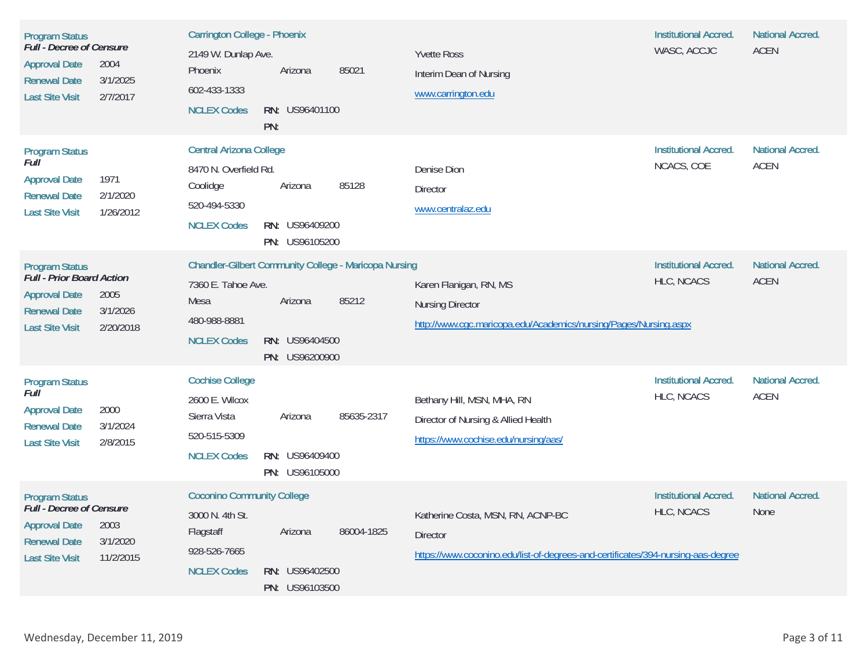| <b>Program Status</b><br><b>Full</b> - Decree of Censure<br><b>Approval Date</b><br>2004<br><b>Renewal Date</b><br>3/1/2025<br><b>Last Site Visit</b><br>2/7/2017  | <b>Carrington College - Phoenix</b><br>2149 W. Dunlap Ave.<br>Phoenix<br>602-433-1333<br><b>NCLEX Codes</b> | Arizona<br>RN: US96401100<br>PN:                   | 85021                                                                 | <b>Yvette Ross</b><br>Interim Dean of Nursing<br>www.carrington.edu                                                                      | <b>Institutional Accred.</b><br>WASC, ACCJC       | <b>National Accred.</b><br><b>ACEN</b> |
|--------------------------------------------------------------------------------------------------------------------------------------------------------------------|-------------------------------------------------------------------------------------------------------------|----------------------------------------------------|-----------------------------------------------------------------------|------------------------------------------------------------------------------------------------------------------------------------------|---------------------------------------------------|----------------------------------------|
| <b>Program Status</b><br>Full<br>1971<br><b>Approval Date</b><br>2/1/2020<br><b>Renewal Date</b><br><b>Last Site Visit</b><br>1/26/2012                            | <b>Central Arizona College</b><br>8470 N. Overfield Rd.<br>Coolidge<br>520-494-5330<br><b>NCLEX Codes</b>   | Arizona<br>RN: US96409200<br>PN: US96105200        | 85128                                                                 | Denise Dion<br><b>Director</b><br>www.centralaz.edu                                                                                      | <b>Institutional Accred.</b><br>NCACS, COE        | <b>National Accred.</b><br><b>ACEN</b> |
| <b>Program Status</b><br>Full - Prior Board Action<br><b>Approval Date</b><br>2005<br><b>Renewal Date</b><br>3/1/2026<br>2/20/2018<br><b>Last Site Visit</b>       | 7360 E. Tahoe Ave.<br>Mesa<br>480-988-8881<br><b>NCLEX Codes</b>                                            | Arizona<br><b>RN: US96404500</b><br>PN: US96200900 | <b>Chandler-Gilbert Community College - Maricopa Nursing</b><br>85212 | Karen Flanigan, RN, MS<br><b>Nursing Director</b><br>http://www.cgc.maricopa.edu/Academics/nursing/Pages/Nursing.aspx                    | <b>Institutional Accred.</b><br>HLC, NCACS        | <b>National Accred.</b><br><b>ACEN</b> |
| <b>Program Status</b><br>Full<br>2000<br><b>Approval Date</b><br><b>Renewal Date</b><br>3/1/2024<br><b>Last Site Visit</b><br>2/8/2015                             | <b>Cochise College</b><br>2600 E. Wilcox<br>Sierra Vista<br>520-515-5309<br><b>NCLEX Codes</b>              | Arizona<br>RN: US96409400<br>PN: US96105000        | 85635-2317                                                            | Bethany Hill, MSN, MHA, RN<br>Director of Nursing & Allied Health<br>https://www.cochise.edu/nursing/aas/                                | <b>Institutional Accred.</b><br><b>HLC, NCACS</b> | <b>National Accred.</b><br><b>ACEN</b> |
| <b>Program Status</b><br><b>Full</b> - Decree of Censure<br>2003<br><b>Approval Date</b><br>3/1/2020<br><b>Renewal Date</b><br><b>Last Site Visit</b><br>11/2/2015 | <b>Coconino Community College</b><br>3000 N. 4th St.<br>Flagstaff<br>928-526-7665<br><b>NCLEX Codes</b>     | Arizona<br>RN: US96402500<br>PN: US96103500        | 86004-1825                                                            | Katherine Costa, MSN, RN, ACNP-BC<br><b>Director</b><br>https://www.coconino.edu/list-of-degrees-and-certificates/394-nursing-aas-degree | <b>Institutional Accred.</b><br>HLC, NCACS        | <b>National Accred.</b><br>None        |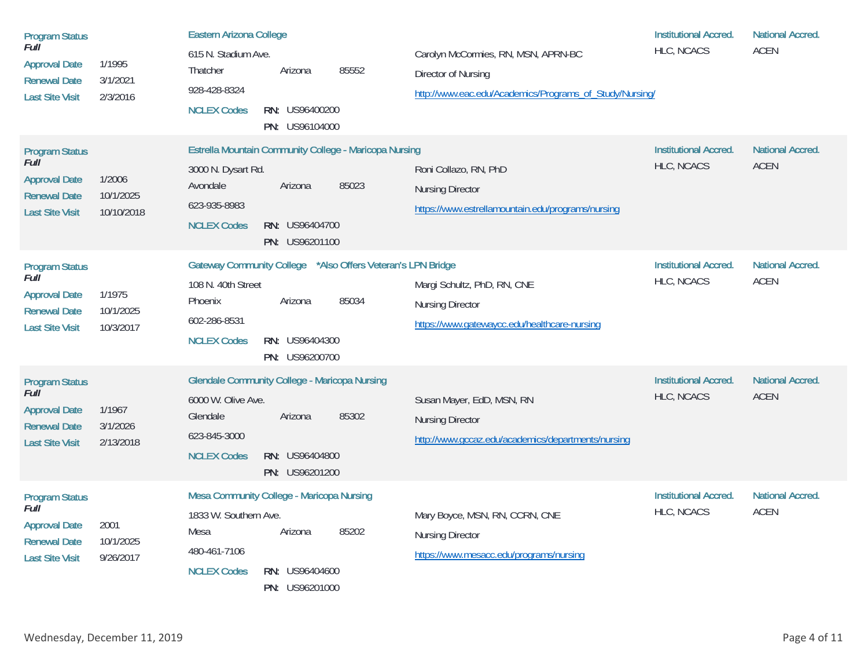| <b>Program Status</b><br>Full<br><b>Approval Date</b><br><b>Renewal Date</b><br><b>Last Site Visit</b>        | 1/1995<br>3/1/2021<br>2/3/2016    | <b>Eastern Arizona College</b><br>615 N. Stadium Ave.<br>85552<br>Thatcher<br>Arizona<br>928-428-8324<br><b>NCLEX Codes</b><br>RN: US96400200<br>PN: US96104000                               | Carolyn McCormies, RN, MSN, APRN-BC<br>Director of Nursing<br>http://www.eac.edu/Academics/Programs_of_Study/Nursing/ | <b>Institutional Accred.</b><br>HLC, NCACS | <b>National Accred.</b><br><b>ACEN</b> |
|---------------------------------------------------------------------------------------------------------------|-----------------------------------|-----------------------------------------------------------------------------------------------------------------------------------------------------------------------------------------------|-----------------------------------------------------------------------------------------------------------------------|--------------------------------------------|----------------------------------------|
| <b>Program Status</b><br>Full<br><b>Approval Date</b><br><b>Renewal Date</b><br><b>Last Site Visit</b>        | 1/2006<br>10/1/2025<br>10/10/2018 | <b>Estrella Mountain Community College - Maricopa Nursing</b><br>3000 N. Dysart Rd.<br>Avondale<br>85023<br>Arizona<br>623-935-8983<br><b>NCLEX Codes</b><br>RN: US96404700<br>PN: US96201100 | Roni Collazo, RN, PhD<br><b>Nursing Director</b><br>https://www.estrellamountain.edu/programs/nursing                 | <b>Institutional Accred.</b><br>HLC, NCACS | <b>National Accred.</b><br><b>ACEN</b> |
| <b>Program Status</b><br>Full<br><b>Approval Date</b><br><b>Renewal Date</b><br><b>Last Site Visit</b>        | 1/1975<br>10/1/2025<br>10/3/2017  | Gateway Community College *Also Offers Veteran's LPN Bridge<br>108 N. 40th Street<br>85034<br>Arizona<br>Phoenix<br>602-286-8531<br><b>NCLEX Codes</b><br>RN: US96404300<br>PN: US96200700    | Margi Schultz, PhD, RN, CNE<br><b>Nursing Director</b><br>https://www.gatewaycc.edu/healthcare-nursing                | <b>Institutional Accred.</b><br>HLC, NCACS | <b>National Accred.</b><br><b>ACEN</b> |
| <b>Program Status</b><br><b>Full</b><br><b>Approval Date</b><br><b>Renewal Date</b><br><b>Last Site Visit</b> | 1/1967<br>3/1/2026<br>2/13/2018   | <b>Glendale Community College - Maricopa Nursing</b><br>6000 W. Olive Ave.<br>85302<br>Glendale<br>Arizona<br>623-845-3000<br><b>NCLEX Codes</b><br>RN: US96404800<br>PN: US96201200          | Susan Mayer, EdD, MSN, RN<br><b>Nursing Director</b><br>http://www.gccaz.edu/academics/departments/nursing            | <b>Institutional Accred.</b><br>HLC, NCACS | <b>National Accred.</b><br><b>ACEN</b> |
| <b>Program Status</b><br>Full<br><b>Approval Date</b><br><b>Renewal Date</b><br><b>Last Site Visit</b>        | 2001<br>10/1/2025<br>9/26/2017    | Mesa Community College - Maricopa Nursing<br>1833 W. Southern Ave.<br>85202<br>Arizona<br>Mesa<br>480-461-7106<br><b>NCLEX Codes</b><br>RN: US96404600<br>PN: US96201000                      | Mary Boyce, MSN, RN, CCRN, CNE<br><b>Nursing Director</b><br>https://www.mesacc.edu/programs/nursing                  | <b>Institutional Accred.</b><br>HLC, NCACS | <b>National Accred.</b><br><b>ACEN</b> |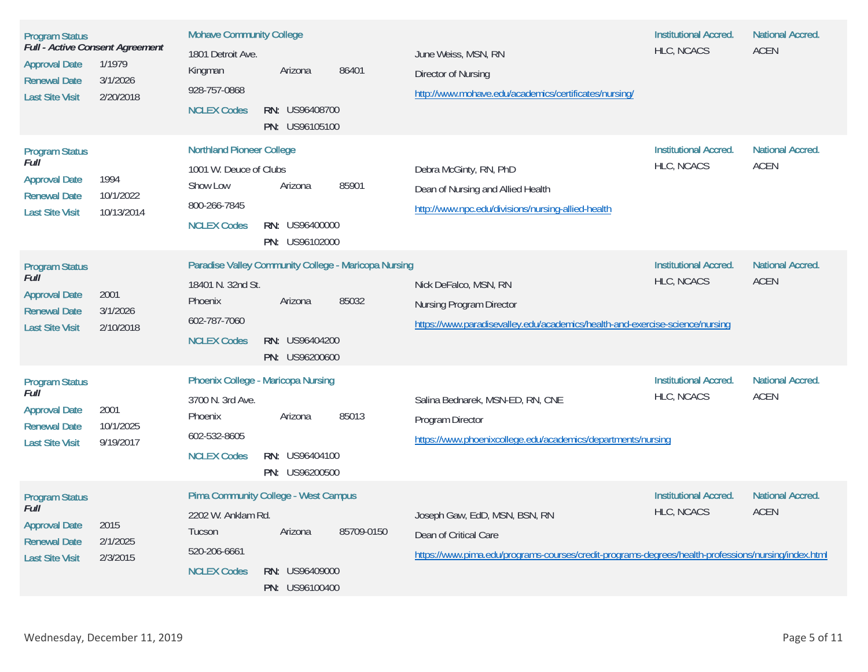| <b>Program Status</b><br><b>Approval Date</b><br><b>Renewal Date</b><br><b>Last Site Visit</b>         | Full - Active Consent Agreement<br>1/1979<br>3/1/2026<br>2/20/2018 | <b>Mohave Community College</b><br>1801 Detroit Ave.<br>Kingman<br>928-757-0868<br><b>NCLEX Codes</b>        | Arizona<br>RN: US96408700<br>PN: US96105100                                                                | 86401      | June Weiss, MSN, RN<br>Director of Nursing<br>http://www.mohave.edu/academics/certificates/nursing/                                                           | <b>Institutional Accred.</b><br>HLC, NCACS        | <b>National Accred.</b><br><b>ACEN</b> |
|--------------------------------------------------------------------------------------------------------|--------------------------------------------------------------------|--------------------------------------------------------------------------------------------------------------|------------------------------------------------------------------------------------------------------------|------------|---------------------------------------------------------------------------------------------------------------------------------------------------------------|---------------------------------------------------|----------------------------------------|
| <b>Program Status</b><br>Full<br><b>Approval Date</b><br><b>Renewal Date</b><br><b>Last Site Visit</b> | 1994<br>10/1/2022<br>10/13/2014                                    | <b>Northland Pioneer College</b><br>1001 W. Deuce of Clubs<br>Show Low<br>800-266-7845<br><b>NCLEX Codes</b> | Arizona<br>RN: US96400000<br>PN: US96102000                                                                | 85901      | Debra McGinty, RN, PhD<br>Dean of Nursing and Allied Health<br>http://www.npc.edu/divisions/nursing-allied-health                                             | <b>Institutional Accred.</b><br>HLC, NCACS        | <b>National Accred.</b><br><b>ACEN</b> |
| <b>Program Status</b><br>Full<br><b>Approval Date</b><br><b>Renewal Date</b><br><b>Last Site Visit</b> | 2001<br>3/1/2026<br>2/10/2018                                      | 18401 N. 32nd St.<br>Phoenix<br>602-787-7060<br><b>NCLEX Codes</b>                                           | <b>Paradise Valley Community College - Maricopa Nursing</b><br>Arizona<br>RN: US96404200<br>PN: US96200600 | 85032      | Nick DeFalco, MSN, RN<br><b>Nursing Program Director</b><br>https://www.paradisevalley.edu/academics/health-and-exercise-science/nursing                      | <b>Institutional Accred.</b><br>HLC, NCACS        | <b>National Accred.</b><br><b>ACEN</b> |
| <b>Program Status</b><br>Full<br><b>Approval Date</b><br><b>Renewal Date</b><br><b>Last Site Visit</b> | 2001<br>10/1/2025<br>9/19/2017                                     | 3700 N. 3rd Ave.<br>Phoenix<br>602-532-8605<br><b>NCLEX Codes</b>                                            | <b>Phoenix College - Maricopa Nursing</b><br>Arizona<br>RN: US96404100<br>PN: US96200500                   | 85013      | Salina Bednarek, MSN-ED, RN, CNE<br>Program Director<br>https://www.phoenixcollege.edu/academics/departments/nursing                                          | <b>Institutional Accred.</b><br>HLC, NCACS        | <b>National Accred.</b><br><b>ACEN</b> |
| <b>Program Status</b><br>Full<br><b>Approval Date</b><br><b>Renewal Date</b><br><b>Last Site Visit</b> | 2015<br>2/1/2025<br>2/3/2015                                       | 2202 W. Anklam Rd.<br>Tucson<br>520-206-6661<br><b>NCLEX Codes</b>                                           | <b>Pima Community College - West Campus</b><br>Arizona<br><b>RN: US96409000</b><br>PN: US96100400          | 85709-0150 | Joseph Gaw, EdD, MSN, BSN, RN<br>Dean of Critical Care<br>https://www.pima.edu/programs-courses/credit-programs-degrees/health-professions/nursing/index.html | <b>Institutional Accred.</b><br><b>HLC, NCACS</b> | <b>National Accred.</b><br><b>ACEN</b> |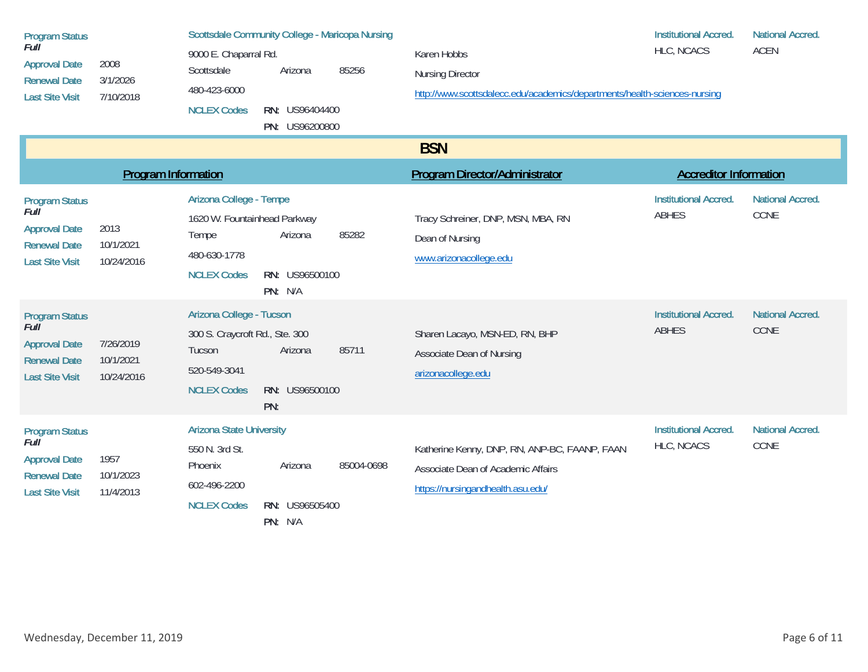| <b>Program Status</b><br>Full<br><b>Approval Date</b><br><b>Renewal Date</b><br><b>Last Site Visit</b> | 2008<br>3/1/2026<br>7/10/2018        | <b>Scottsdale Community College - Maricopa Nursing</b><br>9000 E. Chaparral Rd.<br>85256<br>Scottsdale<br>Arizona<br>480-423-6000<br><b>NCLEX Codes</b><br><b>RN: US96404400</b><br>PN: US96200800 | Karen Hobbs<br><b>Nursing Director</b><br>http://www.scottsdalecc.edu/academics/departments/health-sciences-nursing      | <b>Institutional Accred.</b><br>HLC, NCACS   | <b>National Accred.</b><br><b>ACEN</b> |
|--------------------------------------------------------------------------------------------------------|--------------------------------------|----------------------------------------------------------------------------------------------------------------------------------------------------------------------------------------------------|--------------------------------------------------------------------------------------------------------------------------|----------------------------------------------|----------------------------------------|
|                                                                                                        |                                      |                                                                                                                                                                                                    | <b>BSN</b>                                                                                                               |                                              |                                        |
|                                                                                                        | <b>Program Information</b>           |                                                                                                                                                                                                    | Program Director/Administrator                                                                                           | <b>Accreditor Information</b>                |                                        |
| <b>Program Status</b><br>Full<br><b>Approval Date</b><br><b>Renewal Date</b><br><b>Last Site Visit</b> | 2013<br>10/1/2021<br>10/24/2016      | Arizona College - Tempe<br>1620 W. Fountainhead Parkway<br>85282<br>Arizona<br>Tempe<br>480-630-1778<br><b>NCLEX Codes</b><br>RN: US96500100<br>PN: N/A                                            | Tracy Schreiner, DNP, MSN, MBA, RN<br>Dean of Nursing<br>www.arizonacollege.edu                                          | <b>Institutional Accred.</b><br>ABHES        | <b>National Accred.</b><br>CCNE        |
| <b>Program Status</b><br>Full<br><b>Approval Date</b><br><b>Renewal Date</b><br><b>Last Site Visit</b> | 7/26/2019<br>10/1/2021<br>10/24/2016 | Arizona College - Tucson<br>300 S. Craycroft Rd., Ste. 300<br>85711<br>Arizona<br>Tucson<br>520-549-3041<br><b>NCLEX Codes</b><br>RN: US96500100<br>PN:                                            | Sharen Lacayo, MSN-ED, RN, BHP<br>Associate Dean of Nursing<br>arizonacollege.edu                                        | <b>Institutional Accred.</b><br><b>ABHES</b> | <b>National Accred.</b><br>CCNE        |
| <b>Program Status</b><br>Full<br><b>Approval Date</b><br><b>Renewal Date</b><br><b>Last Site Visit</b> | 1957<br>10/1/2023<br>11/4/2013       | <b>Arizona State University</b><br>550 N. 3rd St.<br>85004-0698<br>Arizona<br>Phoenix<br>602-496-2200<br><b>NCLEX Codes</b><br>RN: US96505400<br>PN: N/A                                           | Katherine Kenny, DNP, RN, ANP-BC, FAANP, FAAN<br>Associate Dean of Academic Affairs<br>https://nursingandhealth.asu.edu/ | <b>Institutional Accred.</b><br>HLC, NCACS   | <b>National Accred.</b><br>CCNE        |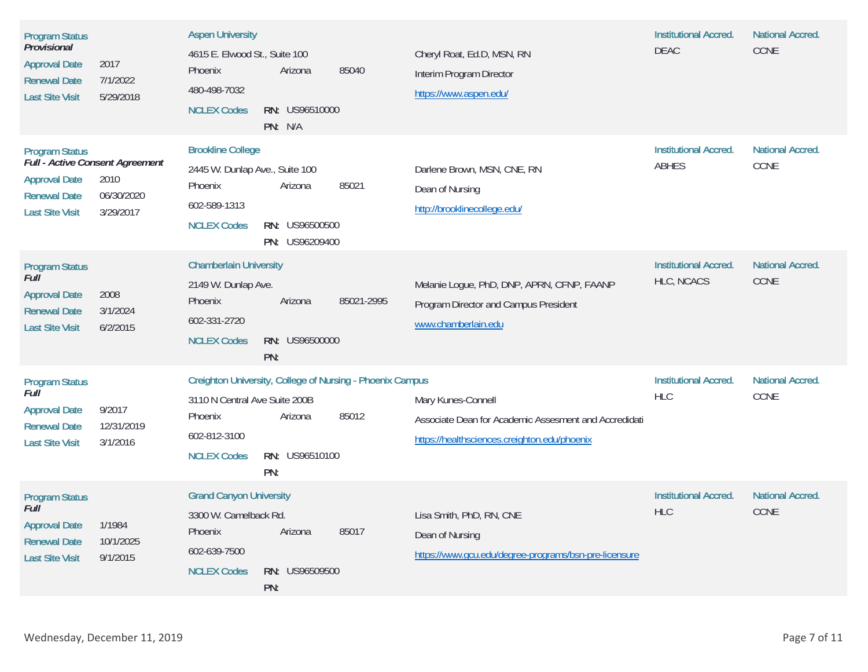| <b>Program Status</b><br>Provisional<br><b>Approval Date</b><br><b>Renewal Date</b><br><b>Last Site Visit</b>                     | 2017<br>7/1/2022<br>5/29/2018    | <b>Aspen University</b><br>4615 E. Elwood St., Suite 100<br>Phoenix<br>480-498-7032<br><b>NCLEX Codes</b>   | Arizona<br>RN: US96510000<br>PN: N/A                                                                 | 85040      | Cheryl Roat, Ed.D, MSN, RN<br>Interim Program Director<br>https://www.aspen.edu/                                            | <b>Institutional Accred.</b><br><b>DEAC</b> | <b>National Accred.</b><br>CCNE |
|-----------------------------------------------------------------------------------------------------------------------------------|----------------------------------|-------------------------------------------------------------------------------------------------------------|------------------------------------------------------------------------------------------------------|------------|-----------------------------------------------------------------------------------------------------------------------------|---------------------------------------------|---------------------------------|
| <b>Program Status</b><br>Full - Active Consent Agreement<br><b>Approval Date</b><br><b>Renewal Date</b><br><b>Last Site Visit</b> | 2010<br>06/30/2020<br>3/29/2017  | <b>Brookline College</b><br>2445 W. Dunlap Ave., Suite 100<br>Phoenix<br>602-589-1313<br><b>NCLEX Codes</b> | Arizona<br>RN: US96500500<br>PN: US96209400                                                          | 85021      | Darlene Brown, MSN, CNE, RN<br>Dean of Nursing<br>http://brooklinecollege.edu/                                              | <b>Institutional Accred.</b><br>ABHES       | <b>National Accred.</b><br>CCNE |
| <b>Program Status</b><br><b>Full</b><br><b>Approval Date</b><br><b>Renewal Date</b><br><b>Last Site Visit</b>                     | 2008<br>3/1/2024<br>6/2/2015     | <b>Chamberlain University</b><br>2149 W. Dunlap Ave.<br>Phoenix<br>602-331-2720<br><b>NCLEX Codes</b>       | Arizona<br>RN: US96500000<br>PN:                                                                     | 85021-2995 | Melanie Logue, PhD, DNP, APRN, CFNP, FAANP<br>Program Director and Campus President<br>www.chamberlain.edu                  | <b>Institutional Accred.</b><br>HLC, NCACS  | <b>National Accred.</b><br>CCNE |
| <b>Program Status</b><br>Full<br><b>Approval Date</b><br><b>Renewal Date</b><br><b>Last Site Visit</b>                            | 9/2017<br>12/31/2019<br>3/1/2016 | 3110 N Central Ave Suite 200B<br>Phoenix<br>602-812-3100<br><b>NCLEX Codes</b>                              | <b>Creighton University, College of Nursing - Phoenix Campus</b><br>Arizona<br>RN: US96510100<br>PN: | 85012      | Mary Kunes-Connell<br>Associate Dean for Academic Assesment and Accredidati<br>https://healthsciences.creighton.edu/phoenix | <b>Institutional Accred.</b><br><b>HLC</b>  | <b>National Accred.</b><br>CCNE |
| <b>Program Status</b><br>Full<br><b>Approval Date</b><br><b>Renewal Date</b><br><b>Last Site Visit</b>                            | 1/1984<br>10/1/2025<br>9/1/2015  | <b>Grand Canyon University</b><br>3300 W. Camelback Rd.<br>Phoenix<br>602-639-7500<br><b>NCLEX Codes</b>    | Arizona<br><b>RN: US96509500</b><br>PN:                                                              | 85017      | Lisa Smith, PhD, RN, CNE<br>Dean of Nursing<br>https://www.gcu.edu/degree-programs/bsn-pre-licensure                        | <b>Institutional Accred.</b><br><b>HLC</b>  | <b>National Accred.</b><br>CCNE |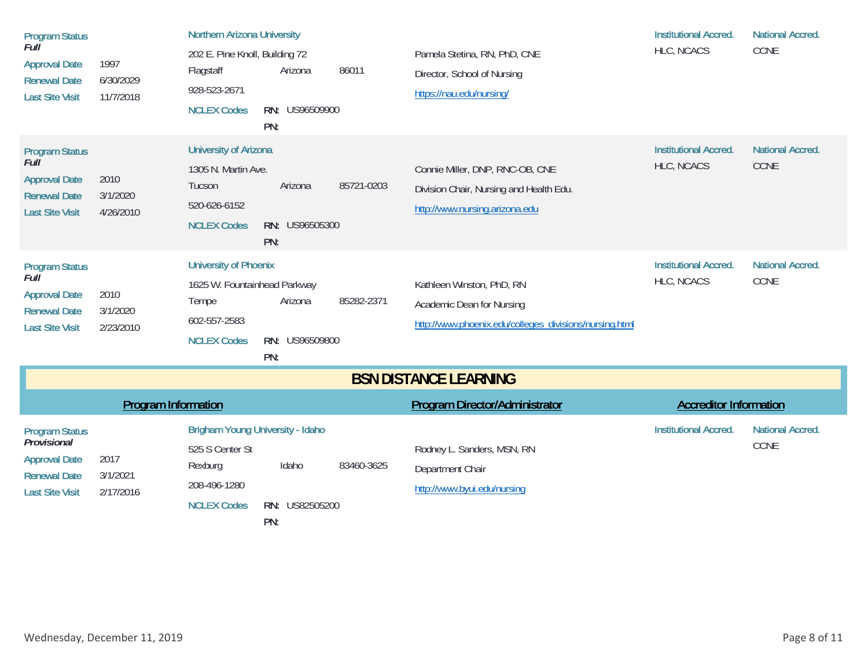| <b>Program Status</b><br>Full<br><b>Approval Date</b><br><b>Renewal Date</b><br><b>Last Site Visit</b>        | 1997<br>6/30/2029<br>11/7/2018 | <b>Northern Arizona University</b><br>202 E. Pine Knoll, Building 72<br>Flagstaff<br>Arizona<br>928-523-2671<br><b>NCLEX Codes</b><br>RN: US96509900<br>PN: | 86011      | Pamela Stetina, RN, PhD, CNE<br>Director, School of Nursing<br>https://nau.edu/nursing/                          | <b>Institutional Accred.</b><br>HLC, NCACS | <b>National Accred.</b><br>CCNE |
|---------------------------------------------------------------------------------------------------------------|--------------------------------|-------------------------------------------------------------------------------------------------------------------------------------------------------------|------------|------------------------------------------------------------------------------------------------------------------|--------------------------------------------|---------------------------------|
| <b>Program Status</b><br>Full<br><b>Approval Date</b><br><b>Renewal Date</b><br><b>Last Site Visit</b>        | 2010<br>3/1/2020<br>4/26/2010  | <b>University of Arizona</b><br>1305 N. Martin Ave.<br>Arizona<br>Tucson<br>520-626-6152<br><b>NCLEX Codes</b><br>RN: US96505300<br>PN:                     | 85721-0203 | Connie Miller, DNP, RNC-OB, CNE<br>Division Chair, Nursing and Health Edu.<br>http://www.nursing.arizona.edu     | <b>Institutional Accred.</b><br>HLC, NCACS | <b>National Accred.</b><br>CCNE |
| <b>Program Status</b><br>Full<br><b>Approval Date</b><br><b>Renewal Date</b><br><b>Last Site Visit</b>        | 2010<br>3/1/2020<br>2/23/2010  | <b>University of Phoenix</b><br>1625 W. Fountainhead Parkway<br>Arizona<br>Tempe<br>602-557-2583<br><b>NCLEX Codes</b><br>RN: US96509800<br>PN:             | 85282-2371 | Kathleen Winston, PhD, RN<br>Academic Dean for Nursing<br>http://www.phoenix.edu/colleges_divisions/nursing.html | <b>Institutional Accred.</b><br>HLC, NCACS | <b>National Accred.</b><br>CCNE |
|                                                                                                               |                                |                                                                                                                                                             |            | <b>BSN DISTANCE LEARNING</b>                                                                                     |                                            |                                 |
|                                                                                                               | <b>Program Information</b>     |                                                                                                                                                             |            | <b>Program Director/Administrator</b>                                                                            | <b>Accreditor Information</b>              |                                 |
| <b>Program Status</b><br>Provisional<br><b>Approval Date</b><br><b>Renewal Date</b><br><b>Last Site Visit</b> | 2017<br>3/1/2021<br>2/17/2016  | <b>Brigham Young University - Idaho</b><br>525 S Center St<br>Idaho<br>Rexburg<br>208-496-1280                                                              | 83460-3625 | Rodney L. Sanders, MSN, RN<br>Department Chair<br>http://www.byui.edu/nursing                                    | <b>Institutional Accred.</b>               | <b>National Accred.</b><br>CCNE |

**s RN:** US82505200

PN:

NCLEX Codes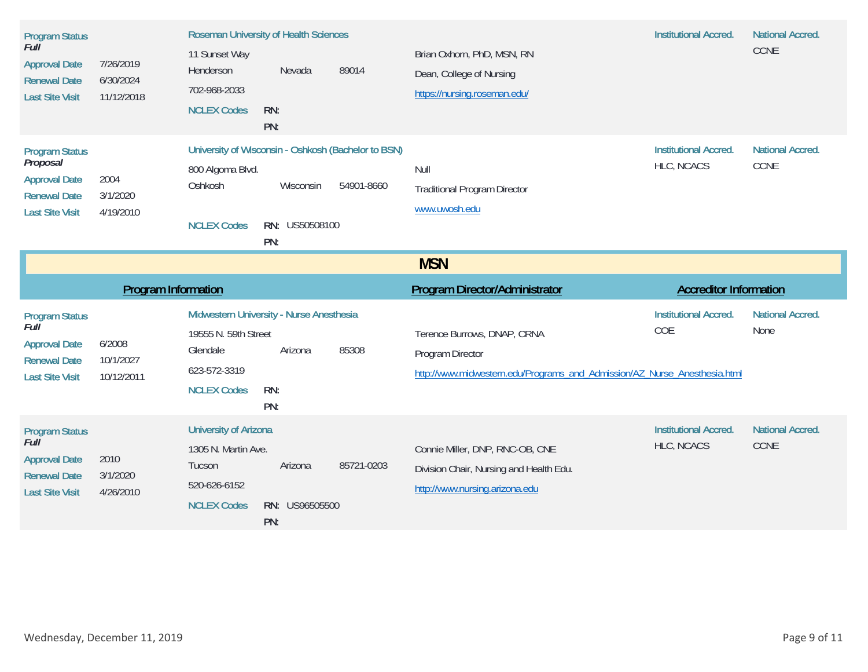| <b>Program Status</b><br>Full<br><b>Approval Date</b><br><b>Renewal Date</b><br><b>Last Site Visit</b>     | 7/26/2019<br>6/30/2024<br>11/12/2018 | <b>Roseman University of Health Sciences</b><br>11 Sunset Way<br>Henderson<br>702-968-2033<br><b>NCLEX Codes</b>   | Nevada<br>RN:<br>PN:               | 89014      | Brian Oxhorn, PhD, MSN, RN<br>Dean, College of Nursing<br>https://nursing.roseman.edu/                                       | <b>Institutional Accred.</b>               | <b>National Accred.</b><br>CCNE |
|------------------------------------------------------------------------------------------------------------|--------------------------------------|--------------------------------------------------------------------------------------------------------------------|------------------------------------|------------|------------------------------------------------------------------------------------------------------------------------------|--------------------------------------------|---------------------------------|
| <b>Program Status</b><br>Proposal<br><b>Approval Date</b><br><b>Renewal Date</b><br><b>Last Site Visit</b> | 2004<br>3/1/2020<br>4/19/2010        | University of Wisconsin - Oshkosh (Bachelor to BSN)<br>800 Algoma Blvd.<br>Oshkosh<br><b>NCLEX Codes</b>           | Wisconsin<br>RN: US50508100<br>PN: | 54901-8660 | Null<br><b>Traditional Program Director</b><br>www.uwosh.edu                                                                 | <b>Institutional Accred.</b><br>HLC, NCACS | <b>National Accred.</b><br>CCNE |
|                                                                                                            |                                      |                                                                                                                    |                                    |            | <b>MSN</b>                                                                                                                   |                                            |                                 |
|                                                                                                            |                                      |                                                                                                                    |                                    |            |                                                                                                                              |                                            |                                 |
|                                                                                                            | <b>Program Information</b>           |                                                                                                                    |                                    |            | <b>Program Director/Administrator</b>                                                                                        | <b>Accreditor Information</b>              |                                 |
| <b>Program Status</b><br>Full<br><b>Approval Date</b><br><b>Renewal Date</b><br><b>Last Site Visit</b>     | 6/2008<br>10/1/2027<br>10/12/2011    | Midwestern University - Nurse Anesthesia<br>19555 N. 59th Street<br>Glendale<br>623-572-3319<br><b>NCLEX Codes</b> | Arizona<br>RN:<br>PN:              | 85308      | Terence Burrows, DNAP, CRNA<br>Program Director<br>http://www.midwestern.edu/Programs_and_Admission/AZ_Nurse_Anesthesia.html | <b>Institutional Accred.</b><br>COE        | <b>National Accred.</b><br>None |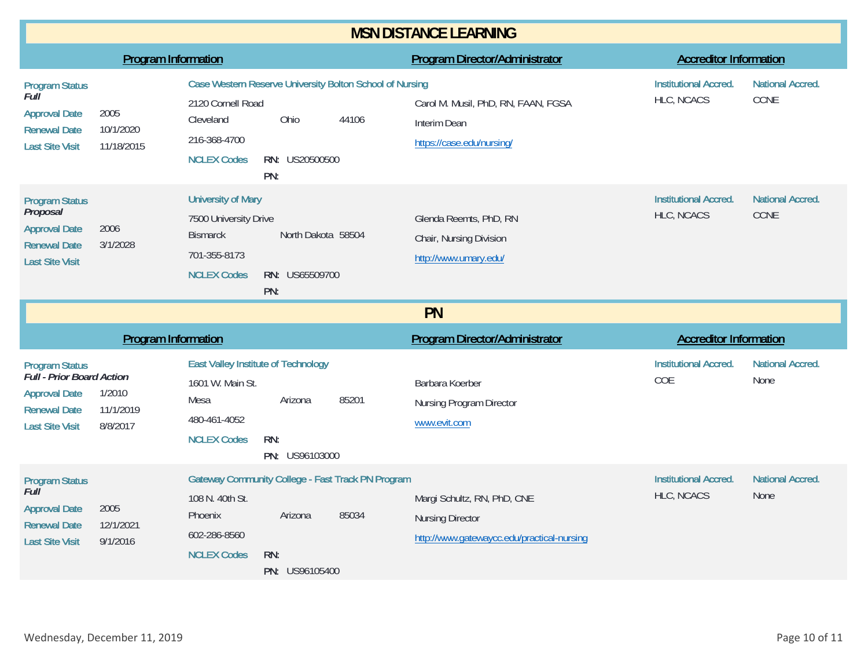| <b>MSN DISTANCE LEARNING</b>                                                                                                |                                 |                                                                                                              |                                             |                                                                   |                                                                                                      |                                            |                                 |  |
|-----------------------------------------------------------------------------------------------------------------------------|---------------------------------|--------------------------------------------------------------------------------------------------------------|---------------------------------------------|-------------------------------------------------------------------|------------------------------------------------------------------------------------------------------|--------------------------------------------|---------------------------------|--|
|                                                                                                                             | <b>Program Information</b>      |                                                                                                              |                                             |                                                                   | <b>Program Director/Administrator</b>                                                                | <b>Accreditor Information</b>              |                                 |  |
| <b>Program Status</b><br>Full<br><b>Approval Date</b><br><b>Renewal Date</b><br><b>Last Site Visit</b>                      | 2005<br>10/1/2020<br>11/18/2015 | 2120 Cornell Road<br>Cleveland<br>216-368-4700<br><b>NCLEX Codes</b>                                         | Ohio<br>RN: US20500500<br>PN:               | Case Western Reserve University Bolton School of Nursing<br>44106 | Carol M. Musil, PhD, RN, FAAN, FGSA<br>Interim Dean<br>https://case.edu/nursing/                     | <b>Institutional Accred.</b><br>HLC, NCACS | <b>National Accred.</b><br>CCNE |  |
| <b>Program Status</b><br>Proposal<br><b>Approval Date</b><br><b>Renewal Date</b><br><b>Last Site Visit</b>                  | 2006<br>3/1/2028                | <b>University of Mary</b><br>7500 University Drive<br><b>Bismarck</b><br>701-355-8173<br><b>NCLEX Codes</b>  | North Dakota 58504<br>RN: US65509700<br>PN: |                                                                   | Glenda Reemts, PhD, RN<br>Chair, Nursing Division<br>http://www.umary.edu/                           | <b>Institutional Accred.</b><br>HLC, NCACS | <b>National Accred.</b><br>CCNE |  |
|                                                                                                                             | <b>PN</b>                       |                                                                                                              |                                             |                                                                   |                                                                                                      |                                            |                                 |  |
|                                                                                                                             | <b>Program Information</b>      |                                                                                                              |                                             |                                                                   | <b>Program Director/Administrator</b>                                                                | <b>Accreditor Information</b>              |                                 |  |
| <b>Program Status</b><br>Full - Prior Board Action<br><b>Approval Date</b><br><b>Renewal Date</b><br><b>Last Site Visit</b> | 1/2010<br>11/1/2019<br>8/8/2017 | <b>East Valley Institute of Technology</b><br>1601 W. Main St.<br>Mesa<br>480-461-4052<br><b>NCLEX Codes</b> | Arizona<br>RN:<br>PN: US96103000            | 85201                                                             | Barbara Koerber<br>Nursing Program Director<br>www.evit.com                                          | <b>Institutional Accred.</b><br>COE        | <b>National Accred.</b><br>None |  |
| <b>Program Status</b><br>Full<br><b>Approval Date</b><br><b>Renewal Date</b><br><b>Last Site Visit</b>                      | 2005<br>12/1/2021<br>9/1/2016   | 108 N. 40th St.<br>Phoenix<br>602-286-8560<br><b>NCLEX Codes</b>                                             | Arizona<br>RN:<br>PN: US96105400            | <b>Gateway Community College - Fast Track PN Program</b><br>85034 | Margi Schultz, RN, PhD, CNE<br><b>Nursing Director</b><br>http://www.gatewaycc.edu/practical-nursing | <b>Institutional Accred.</b><br>HLC, NCACS | <b>National Accred.</b><br>None |  |